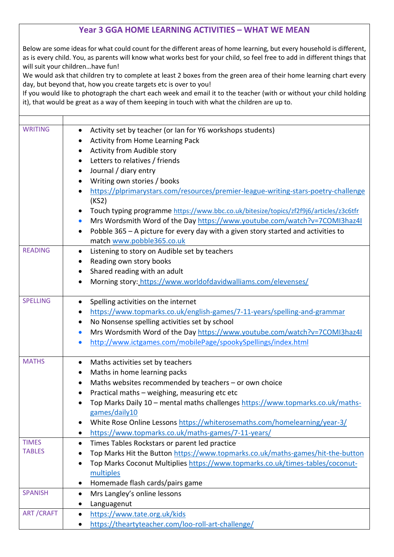## **Year 3 GGA HOME LEARNING ACTIVITIES – WHAT WE MEAN**

Below are some ideas for what could count for the different areas of home learning, but every household is different, as is every child. You, as parents will know what works best for your child, so feel free to add in different things that will suit your children…have fun!

We would ask that children try to complete at least 2 boxes from the green area of their home learning chart every day, but beyond that, how you create targets etc is over to you!

If you would like to photograph the chart each week and email it to the teacher (with or without your child holding it), that would be great as a way of them keeping in touch with what the children are up to.

| <b>WRITING</b>   | Activity set by teacher (or Ian for Y6 workshops students)                                     |
|------------------|------------------------------------------------------------------------------------------------|
|                  | Activity from Home Learning Pack                                                               |
|                  | Activity from Audible story<br>$\bullet$                                                       |
|                  | Letters to relatives / friends                                                                 |
|                  | Journal / diary entry                                                                          |
|                  | Writing own stories / books<br>٠                                                               |
|                  | https://plprimarystars.com/resources/premier-league-writing-stars-poetry-challenge             |
|                  | (KS2)                                                                                          |
|                  | Touch typing programme https://www.bbc.co.uk/bitesize/topics/zf2f9j6/articles/z3c6tfr          |
|                  | Mrs Wordsmith Word of the Day https://www.youtube.com/watch?v=7COMI3haz4I<br>$\bullet$         |
|                  | Pobble 365 - A picture for every day with a given story started and activities to<br>$\bullet$ |
|                  | match www.pobble365.co.uk                                                                      |
| <b>READING</b>   | Listening to story on Audible set by teachers<br>$\bullet$                                     |
|                  | Reading own story books<br>٠                                                                   |
|                  | Shared reading with an adult<br>$\bullet$                                                      |
|                  | Morning story: https://www.worldofdavidwalliams.com/elevenses/<br>$\bullet$                    |
|                  |                                                                                                |
| <b>SPELLING</b>  | Spelling activities on the internet<br>$\bullet$                                               |
|                  | https://www.topmarks.co.uk/english-games/7-11-years/spelling-and-grammar<br>٠                  |
|                  | No Nonsense spelling activities set by school<br>٠                                             |
|                  | Mrs Wordsmith Word of the Day https://www.youtube.com/watch?v=7COMI3haz4I<br>$\bullet$         |
|                  | http://www.ictgames.com/mobilePage/spookySpellings/index.html<br>$\bullet$                     |
|                  |                                                                                                |
| <b>MATHS</b>     | Maths activities set by teachers<br>$\bullet$                                                  |
|                  | Maths in home learning packs<br>$\bullet$                                                      |
|                  | Maths websites recommended by teachers - or own choice<br>٠                                    |
|                  | Practical maths - weighing, measuring etc etc<br>٠                                             |
|                  | Top Marks Daily 10 - mental maths challenges https://www.topmarks.co.uk/maths-                 |
|                  | games/daily10                                                                                  |
|                  | White Rose Online Lessons https://whiterosemaths.com/homelearning/year-3/                      |
|                  | https://www.topmarks.co.uk/maths-games/7-11-years/<br>٠                                        |
| <b>TIMES</b>     | Times Tables Rockstars or parent led practice<br>$\bullet$                                     |
| <b>TABLES</b>    | Top Marks Hit the Button https://www.topmarks.co.uk/maths-games/hit-the-button                 |
|                  | Top Marks Coconut Multiplies https://www.topmarks.co.uk/times-tables/coconut-<br>$\bullet$     |
|                  | multiples                                                                                      |
|                  | Homemade flash cards/pairs game<br>$\bullet$                                                   |
| <b>SPANISH</b>   | Mrs Langley's online lessons                                                                   |
|                  | Languagenut                                                                                    |
| <b>ART/CRAFT</b> | https://www.tate.org.uk/kids<br>$\bullet$                                                      |
|                  | https://theartyteacher.com/loo-roll-art-challenge/                                             |